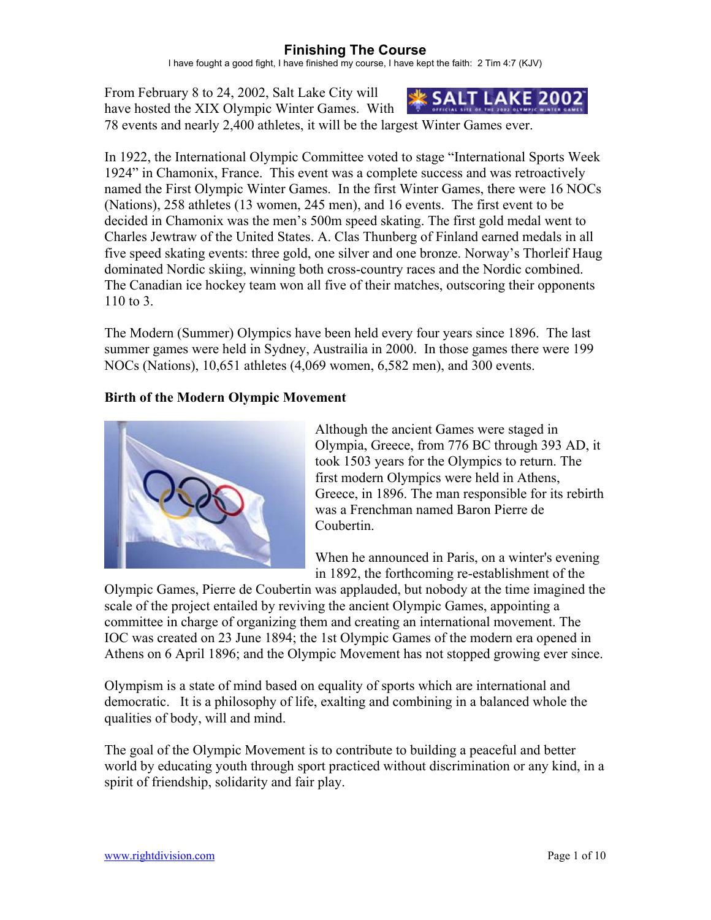I have fought a good fight, I have finished my course, I have kept the faith: 2 Tim 4:7 (KJV)

From February 8 to 24, 2002, Salt Lake City will have hosted the XIX Olympic Winter Games. With



78 events and nearly 2,400 athletes, it will be the largest Winter Games ever.

In 1922, the International Olympic Committee voted to stage "International Sports Week 1924" in Chamonix, France. This event was a complete success and was retroactively named the First Olympic Winter Games. In the first Winter Games, there were 16 NOCs (Nations), 258 athletes (13 women, 245 men), and 16 events. The first event to be decided in Chamonix was the men's 500m speed skating. The first gold medal went to Charles Jewtraw of the United States. A. Clas Thunberg of Finland earned medals in all five speed skating events: three gold, one silver and one bronze. Norway's Thorleif Haug dominated Nordic skiing, winning both cross-country races and the Nordic combined. The Canadian ice hockey team won all five of their matches, outscoring their opponents 110 to 3.

The Modern (Summer) Olympics have been held every four years since 1896. The last summer games were held in Sydney, Austrailia in 2000. In those games there were 199 NOCs (Nations), 10,651 athletes (4,069 women, 6,582 men), and 300 events.

## **Birth of the Modern Olympic Movement**



Although the ancient Games were staged in Olympia, Greece, from 776 BC through 393 AD, it took 1503 years for the Olympics to return. The first modern Olympics were held in Athens, Greece, in 1896. The man responsible for its rebirth was a Frenchman named Baron Pierre de Coubertin.

When he announced in Paris, on a winter's evening in 1892, the forthcoming re-establishment of the

Olympic Games, Pierre de Coubertin was applauded, but nobody at the time imagined the scale of the project entailed by reviving the ancient Olympic Games, appointing a committee in charge of organizing them and creating an international movement. The IOC was created on 23 June 1894; the 1st Olympic Games of the modern era opened in Athens on 6 April 1896; and the Olympic Movement has not stopped growing ever since.

Olympism is a state of mind based on equality of sports which are international and democratic. It is a philosophy of life, exalting and combining in a balanced whole the qualities of body, will and mind.

The goal of the Olympic Movement is to contribute to building a peaceful and better world by educating youth through sport practiced without discrimination or any kind, in a spirit of friendship, solidarity and fair play.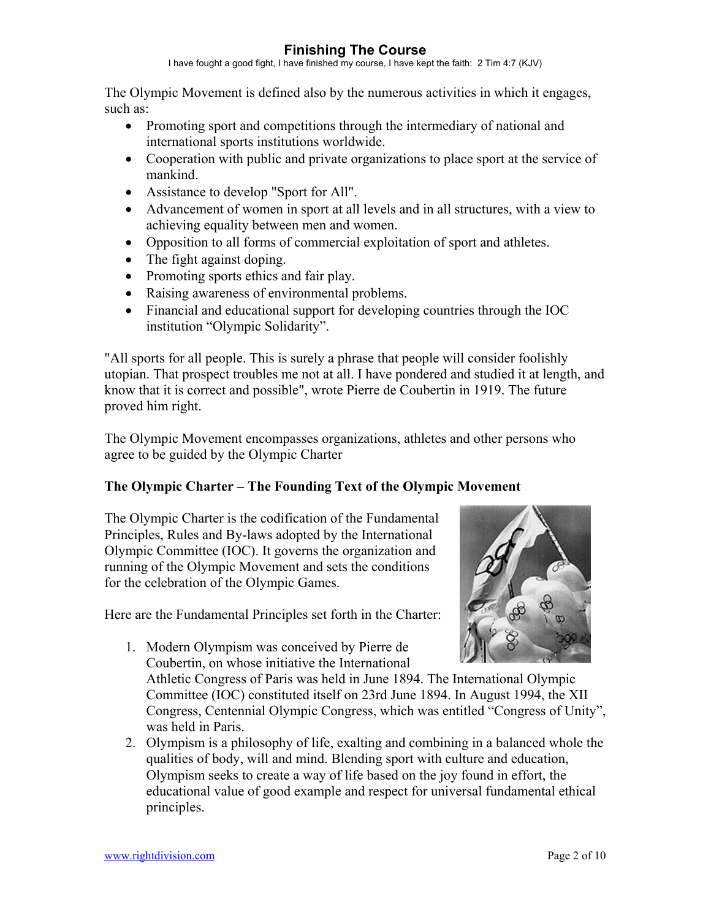I have fought a good fight, I have finished my course, I have kept the faith: 2 Tim 4:7 (KJV)

The Olympic Movement is defined also by the numerous activities in which it engages, such as:

- Promoting sport and competitions through the intermediary of national and international sports institutions worldwide.
- Cooperation with public and private organizations to place sport at the service of mankind.
- Assistance to develop "Sport for All".
- Advancement of women in sport at all levels and in all structures, with a view to achieving equality between men and women.
- Opposition to all forms of commercial exploitation of sport and athletes.
- The fight against doping.
- Promoting sports ethics and fair play.
- Raising awareness of environmental problems.
- Financial and educational support for developing countries through the IOC institution "Olympic Solidarity".

"All sports for all people. This is surely a phrase that people will consider foolishly utopian. That prospect troubles me not at all. I have pondered and studied it at length, and know that it is correct and possible", wrote Pierre de Coubertin in 1919. The future proved him right.

The Olympic Movement encompasses organizations, athletes and other persons who agree to be guided by the Olympic Charter

## **The Olympic Charter – The Founding Text of the Olympic Movement**

The Olympic Charter is the codification of the Fundamental Principles, Rules and By-laws adopted by the International Olympic Committee (IOC). It governs the organization and running of the Olympic Movement and sets the conditions for the celebration of the Olympic Games.

Here are the Fundamental Principles set forth in the Charter:

1. Modern Olympism was conceived by Pierre de Coubertin, on whose initiative the International

Athletic Congress of Paris was held in June 1894. The International Olympic Committee (IOC) constituted itself on 23rd June 1894. In August 1994, the XII Congress, Centennial Olympic Congress, which was entitled "Congress of Unity", was held in Paris.

2. Olympism is a philosophy of life, exalting and combining in a balanced whole the qualities of body, will and mind. Blending sport with culture and education, Olympism seeks to create a way of life based on the joy found in effort, the educational value of good example and respect for universal fundamental ethical principles.

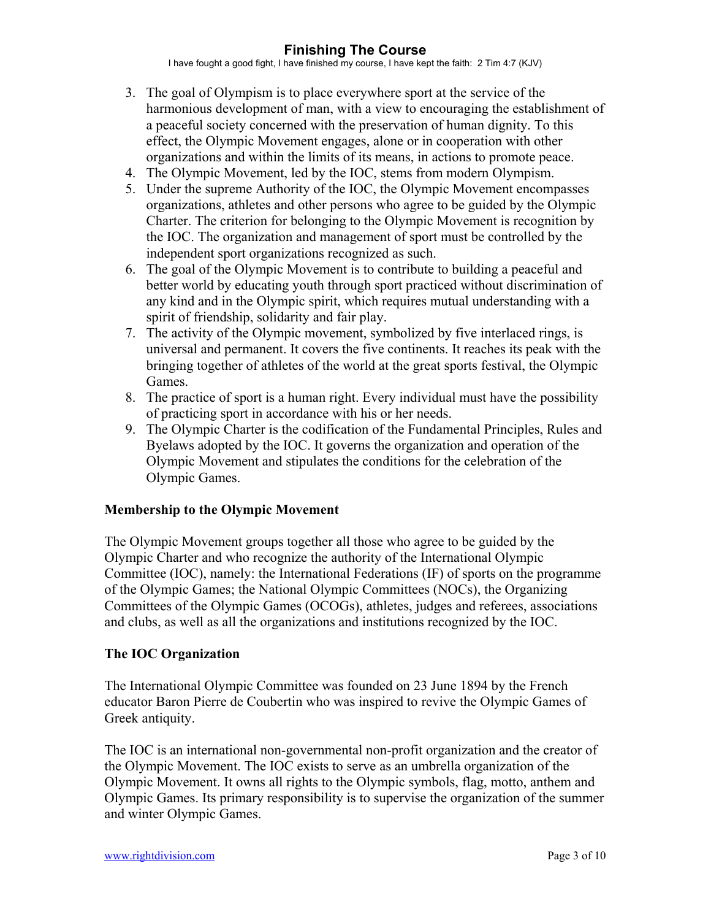I have fought a good fight, I have finished my course, I have kept the faith: 2 Tim 4:7 (KJV)

- 3. The goal of Olympism is to place everywhere sport at the service of the harmonious development of man, with a view to encouraging the establishment of a peaceful society concerned with the preservation of human dignity. To this effect, the Olympic Movement engages, alone or in cooperation with other organizations and within the limits of its means, in actions to promote peace.
- 4. The Olympic Movement, led by the IOC, stems from modern Olympism.
- 5. Under the supreme Authority of the IOC, the Olympic Movement encompasses organizations, athletes and other persons who agree to be guided by the Olympic Charter. The criterion for belonging to the Olympic Movement is recognition by the IOC. The organization and management of sport must be controlled by the independent sport organizations recognized as such.
- 6. The goal of the Olympic Movement is to contribute to building a peaceful and better world by educating youth through sport practiced without discrimination of any kind and in the Olympic spirit, which requires mutual understanding with a spirit of friendship, solidarity and fair play.
- 7. The activity of the Olympic movement, symbolized by five interlaced rings, is universal and permanent. It covers the five continents. It reaches its peak with the bringing together of athletes of the world at the great sports festival, the Olympic Games.
- 8. The practice of sport is a human right. Every individual must have the possibility of practicing sport in accordance with his or her needs.
- 9. The Olympic Charter is the codification of the Fundamental Principles, Rules and Byelaws adopted by the IOC. It governs the organization and operation of the Olympic Movement and stipulates the conditions for the celebration of the Olympic Games.

### **Membership to the Olympic Movement**

The Olympic Movement groups together all those who agree to be guided by the Olympic Charter and who recognize the authority of the International Olympic Committee (IOC), namely: the International Federations (IF) of sports on the programme of the Olympic Games; the National Olympic Committees (NOCs), the Organizing Committees of the Olympic Games (OCOGs), athletes, judges and referees, associations and clubs, as well as all the organizations and institutions recognized by the IOC.

### **The IOC Organization**

The International Olympic Committee was founded on 23 June 1894 by the French educator Baron Pierre de Coubertin who was inspired to revive the Olympic Games of Greek antiquity.

The IOC is an international non-governmental non-profit organization and the creator of the Olympic Movement. The IOC exists to serve as an umbrella organization of the Olympic Movement. It owns all rights to the Olympic symbols, flag, motto, anthem and Olympic Games. Its primary responsibility is to supervise the organization of the summer and winter Olympic Games.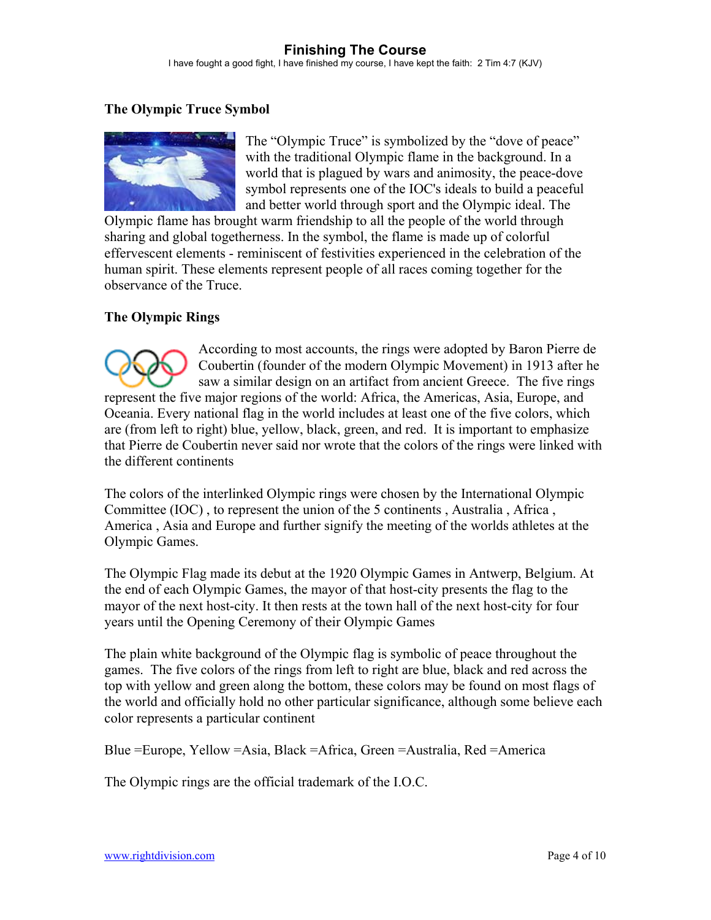I have fought a good fight, I have finished my course, I have kept the faith: 2 Tim 4:7 (KJV)

## **The Olympic Truce Symbol**



The "Olympic Truce" is symbolized by the "dove of peace" with the traditional Olympic flame in the background. In a world that is plagued by wars and animosity, the peace-dove symbol represents one of the IOC's ideals to build a peaceful and better world through sport and the Olympic ideal. The

Olympic flame has brought warm friendship to all the people of the world through sharing and global togetherness. In the symbol, the flame is made up of colorful effervescent elements - reminiscent of festivities experienced in the celebration of the human spirit. These elements represent people of all races coming together for the observance of the Truce.

### **The Olympic Rings**

According to most accounts, the rings were adopted by Baron Pierre de Coubertin (founder of the modern Olympic Movement) in 1913 after he saw a similar design on an artifact from ancient Greece. The five rings represent the five major regions of the world: Africa, the Americas, Asia, Europe, and Oceania. Every national flag in the world includes at least one of the five colors, which are (from left to right) blue, yellow, black, green, and red. It is important to emphasize that Pierre de Coubertin never said nor wrote that the colors of the rings were linked with the different continents

The colors of the interlinked Olympic rings were chosen by the International Olympic Committee (IOC) , to represent the union of the 5 continents , Australia , Africa , America , Asia and Europe and further signify the meeting of the worlds athletes at the Olympic Games.

The Olympic Flag made its debut at the 1920 Olympic Games in Antwerp, Belgium. At the end of each Olympic Games, the mayor of that host-city presents the flag to the mayor of the next host-city. It then rests at the town hall of the next host-city for four years until the Opening Ceremony of their Olympic Games

The plain white background of the Olympic flag is symbolic of peace throughout the games. The five colors of the rings from left to right are blue, black and red across the top with yellow and green along the bottom, these colors may be found on most flags of the world and officially hold no other particular significance, although some believe each color represents a particular continent

Blue =Europe, Yellow =Asia, Black =Africa, Green =Australia, Red =America

The Olympic rings are the official trademark of the I.O.C.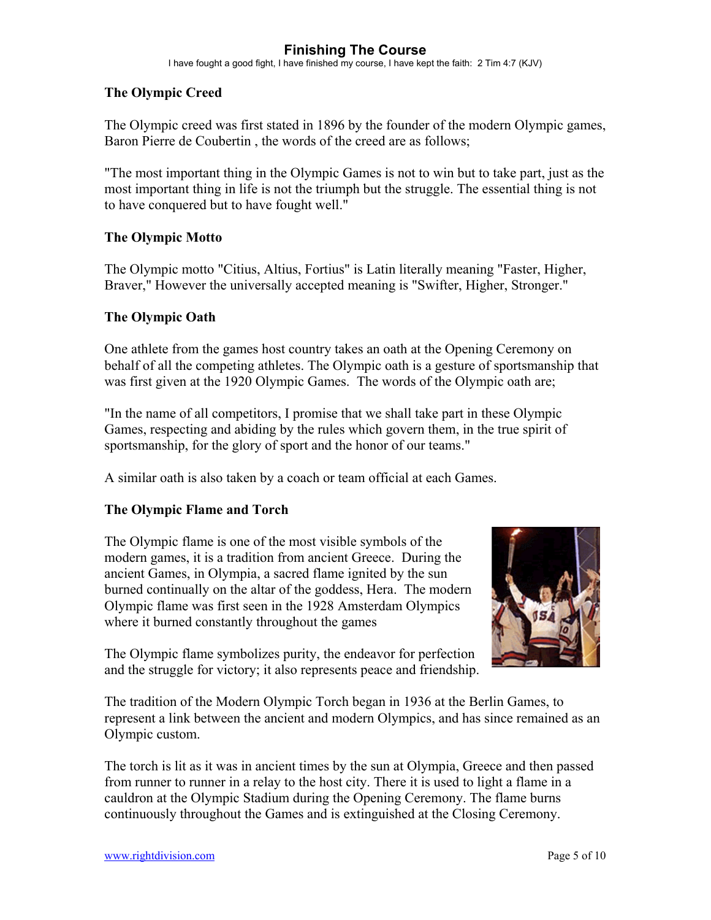I have fought a good fight, I have finished my course, I have kept the faith: 2 Tim 4:7 (KJV)

## **The Olympic Creed**

The Olympic creed was first stated in 1896 by the founder of the modern Olympic games, Baron Pierre de Coubertin , the words of the creed are as follows;

"The most important thing in the Olympic Games is not to win but to take part, just as the most important thing in life is not the triumph but the struggle. The essential thing is not to have conquered but to have fought well."

### **The Olympic Motto**

The Olympic motto "Citius, Altius, Fortius" is Latin literally meaning "Faster, Higher, Braver," However the universally accepted meaning is "Swifter, Higher, Stronger."

#### **The Olympic Oath**

One athlete from the games host country takes an oath at the Opening Ceremony on behalf of all the competing athletes. The Olympic oath is a gesture of sportsmanship that was first given at the 1920 Olympic Games. The words of the Olympic oath are;

"In the name of all competitors, I promise that we shall take part in these Olympic Games, respecting and abiding by the rules which govern them, in the true spirit of sportsmanship, for the glory of sport and the honor of our teams."

A similar oath is also taken by a coach or team official at each Games.

### **The Olympic Flame and Torch**

The Olympic flame is one of the most visible symbols of the modern games, it is a tradition from ancient Greece. During the ancient Games, in Olympia, a sacred flame ignited by the sun burned continually on the altar of the goddess, Hera. The modern Olympic flame was first seen in the 1928 Amsterdam Olympics where it burned constantly throughout the games



The Olympic flame symbolizes purity, the endeavor for perfection and the struggle for victory; it also represents peace and friendship.

The tradition of the Modern Olympic Torch began in 1936 at the Berlin Games, to represent a link between the ancient and modern Olympics, and has since remained as an Olympic custom.

The torch is lit as it was in ancient times by the sun at Olympia, Greece and then passed from runner to runner in a relay to the host city. There it is used to light a flame in a cauldron at the Olympic Stadium during the Opening Ceremony. The flame burns continuously throughout the Games and is extinguished at the Closing Ceremony.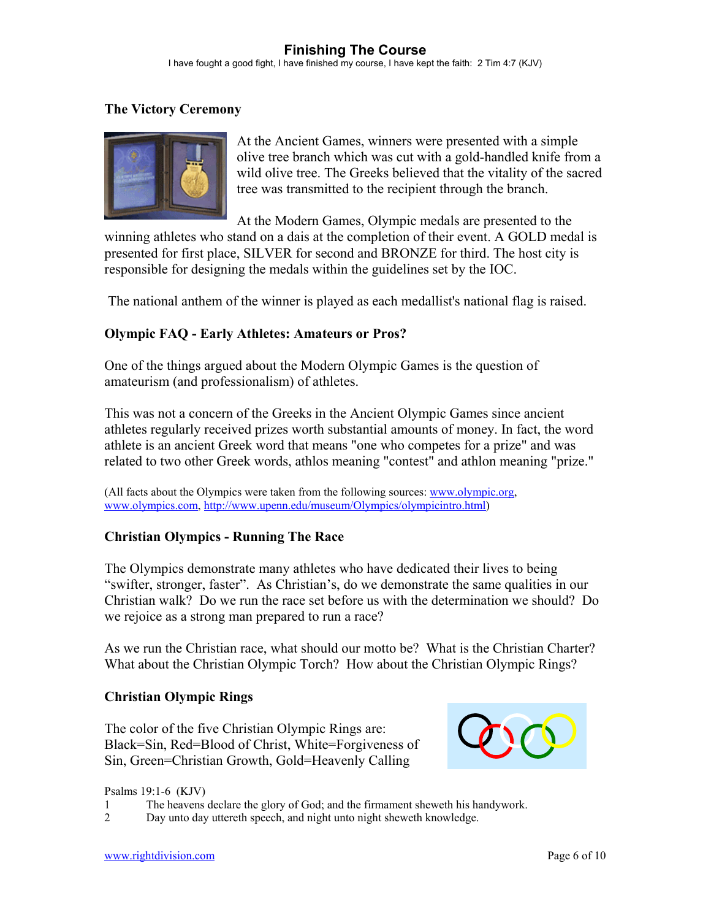I have fought a good fight, I have finished my course, I have kept the faith: 2 Tim 4:7 (KJV)

## **The Victory Ceremony**



At the Ancient Games, winners were presented with a simple olive tree branch which was cut with a gold-handled knife from a wild olive tree. The Greeks believed that the vitality of the sacred tree was transmitted to the recipient through the branch.

At the Modern Games, Olympic medals are presented to the winning athletes who stand on a dais at the completion of their event. A GOLD medal is presented for first place, SILVER for second and BRONZE for third. The host city is responsible for designing the medals within the guidelines set by the IOC.

The national anthem of the winner is played as each medallist's national flag is raised.

## **Olympic FAQ - Early Athletes: Amateurs or Pros?**

One of the things argued about the Modern Olympic Games is the question of amateurism (and professionalism) of athletes.

This was not a concern of the Greeks in the Ancient Olympic Games since ancient athletes regularly received prizes worth substantial amounts of money. In fact, the word athlete is an ancient Greek word that means "one who competes for a prize" and was related to two other Greek words, athlos meaning "contest" and athlon meaning "prize."

(All facts about the Olympics were taken from the following sources: [www.olympic.org,](http://www.olympic.org/) [www.olympics.com,](http://www.olympics.com/) [http://www.upenn.edu/museum/Olympics/olympicintro.html\)](http://www.upenn.edu/museum/Olympics/olympicintro.html)

### **Christian Olympics - Running The Race**

The Olympics demonstrate many athletes who have dedicated their lives to being "swifter, stronger, faster". As Christian's, do we demonstrate the same qualities in our Christian walk? Do we run the race set before us with the determination we should? Do we rejoice as a strong man prepared to run a race?

As we run the Christian race, what should our motto be? What is the Christian Charter? What about the Christian Olympic Torch? How about the Christian Olympic Rings?

### **Christian Olympic Rings**

The color of the five Christian Olympic Rings are: Black=Sin, Red=Blood of Christ, White=Forgiveness of Sin, Green=Christian Growth, Gold=Heavenly Calling



Psalms 19:1-6 (KJV)

- 1 The heavens declare the glory of God; and the firmament sheweth his handywork.
- 2 Day unto day uttereth speech, and night unto night sheweth knowledge.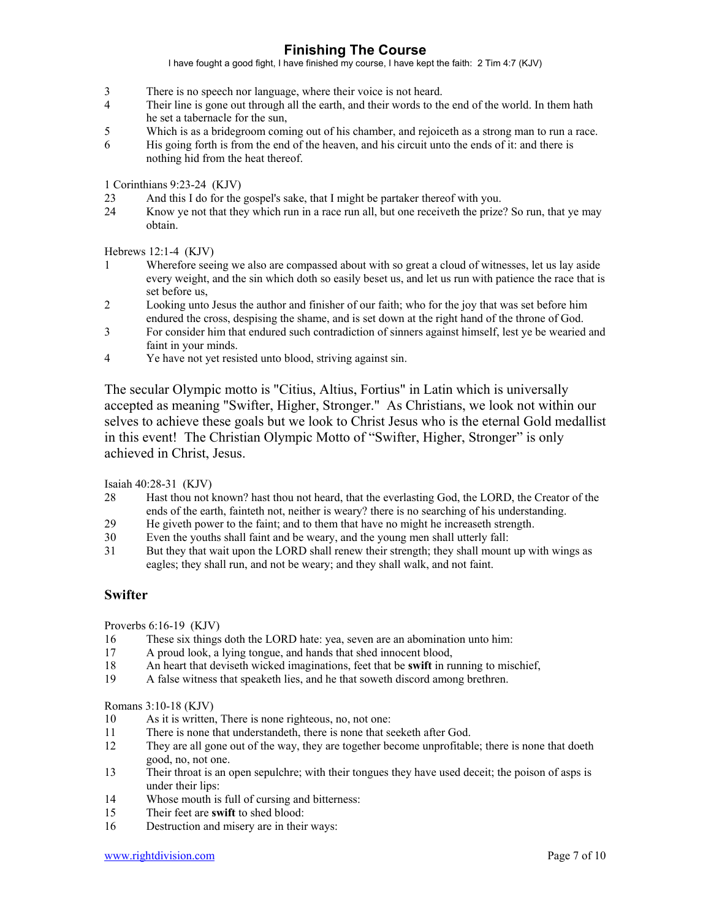I have fought a good fight, I have finished my course, I have kept the faith: 2 Tim 4:7 (KJV)

- 3 There is no speech nor language, where their voice is not heard.
- 4 Their line is gone out through all the earth, and their words to the end of the world. In them hath he set a tabernacle for the sun,
- 5 Which is as a bridegroom coming out of his chamber, and rejoiceth as a strong man to run a race.
- 6 His going forth is from the end of the heaven, and his circuit unto the ends of it: and there is nothing hid from the heat thereof.

1 Corinthians 9:23-24 (KJV)

- 23 And this I do for the gospel's sake, that I might be partaker thereof with you.
- 24 Know ye not that they which run in a race run all, but one receiveth the prize? So run, that ye may obtain.

Hebrews 12:1-4 (KJV)

- 1 Wherefore seeing we also are compassed about with so great a cloud of witnesses, let us lay aside every weight, and the sin which doth so easily beset us, and let us run with patience the race that is set before us,
- 2 Looking unto Jesus the author and finisher of our faith; who for the joy that was set before him endured the cross, despising the shame, and is set down at the right hand of the throne of God.
- 3 For consider him that endured such contradiction of sinners against himself, lest ye be wearied and faint in your minds.
- 4 Ye have not yet resisted unto blood, striving against sin.

The secular Olympic motto is "Citius, Altius, Fortius" in Latin which is universally accepted as meaning "Swifter, Higher, Stronger." As Christians, we look not within our selves to achieve these goals but we look to Christ Jesus who is the eternal Gold medallist in this event! The Christian Olympic Motto of "Swifter, Higher, Stronger" is only achieved in Christ, Jesus.

Isaiah 40:28-31 (KJV)

- 28 Hast thou not known? hast thou not heard, that the everlasting God, the LORD, the Creator of the ends of the earth, fainteth not, neither is weary? there is no searching of his understanding.
- 29 He giveth power to the faint; and to them that have no might he increaseth strength.
- 30 Even the youths shall faint and be weary, and the young men shall utterly fall:
- 31 But they that wait upon the LORD shall renew their strength; they shall mount up with wings as eagles; they shall run, and not be weary; and they shall walk, and not faint.

#### **Swifter**

Proverbs 6:16-19 (KJV)

- 16 These six things doth the LORD hate: yea, seven are an abomination unto him:
- 17 A proud look, a lying tongue, and hands that shed innocent blood,
- 18 An heart that deviseth wicked imaginations, feet that be **swift** in running to mischief,
- 19 A false witness that speaketh lies, and he that soweth discord among brethren.

Romans 3:10-18 (KJV)

- 10 As it is written, There is none righteous, no, not one:
- 11 There is none that understandeth, there is none that seeketh after God.
- 12 They are all gone out of the way, they are together become unprofitable; there is none that doeth good, no, not one.
- 13 Their throat is an open sepulchre; with their tongues they have used deceit; the poison of asps is under their lips:
- 14 Whose mouth is full of cursing and bitterness:
- 15 Their feet are **swift** to shed blood:
- 16 Destruction and misery are in their ways: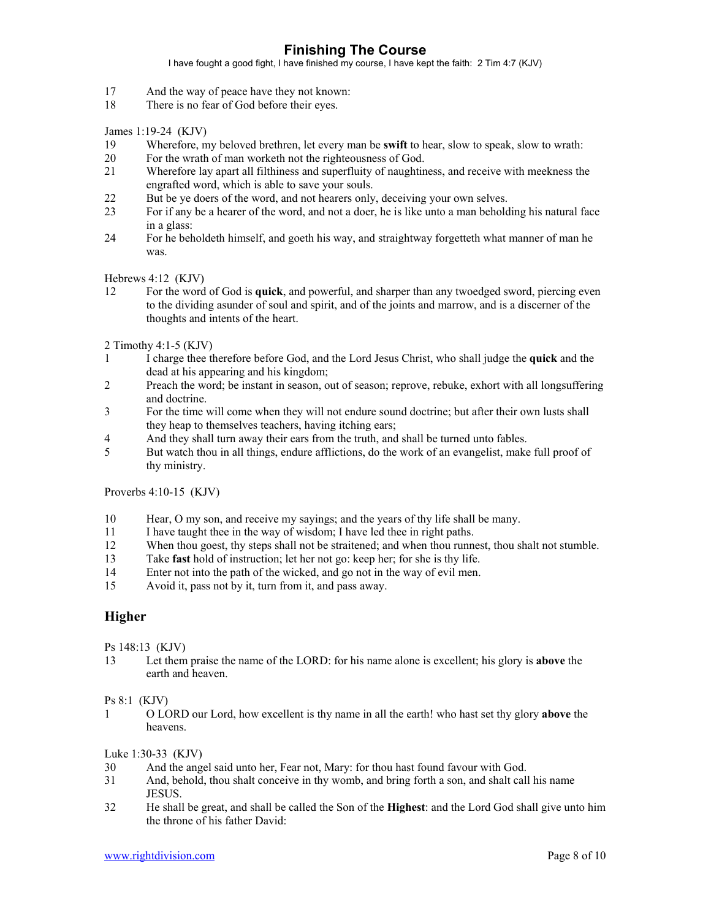I have fought a good fight, I have finished my course, I have kept the faith: 2 Tim 4:7 (KJV)

- 17 And the way of peace have they not known:
- 18 There is no fear of God before their eyes.

James 1:19-24 (KJV)

- 19 Wherefore, my beloved brethren, let every man be **swift** to hear, slow to speak, slow to wrath:
- 20 For the wrath of man worketh not the righteousness of God.
- 21 Wherefore lay apart all filthiness and superfluity of naughtiness, and receive with meekness the engrafted word, which is able to save your souls.
- 22 But be ye doers of the word, and not hearers only, deceiving your own selves.
- 23 For if any be a hearer of the word, and not a doer, he is like unto a man beholding his natural face in a glass:
- 24 For he beholdeth himself, and goeth his way, and straightway forgetteth what manner of man he was.

Hebrews 4:12 (KJV)

12 For the word of God is **quick**, and powerful, and sharper than any twoedged sword, piercing even to the dividing asunder of soul and spirit, and of the joints and marrow, and is a discerner of the thoughts and intents of the heart.

2 Timothy 4:1-5 (KJV)

- 1 I charge thee therefore before God, and the Lord Jesus Christ, who shall judge the **quick** and the dead at his appearing and his kingdom;
- 2 Preach the word; be instant in season, out of season; reprove, rebuke, exhort with all longsuffering and doctrine.
- 3 For the time will come when they will not endure sound doctrine; but after their own lusts shall they heap to themselves teachers, having itching ears;
- 4 And they shall turn away their ears from the truth, and shall be turned unto fables.
- 5 But watch thou in all things, endure afflictions, do the work of an evangelist, make full proof of thy ministry.

Proverbs 4:10-15 (KJV)

- 10 Hear, O my son, and receive my sayings; and the years of thy life shall be many.
- 11 I have taught thee in the way of wisdom; I have led thee in right paths.
- 12 When thou goest, thy steps shall not be straitened; and when thou runnest, thou shalt not stumble.
- 13 Take **fast** hold of instruction; let her not go: keep her; for she is thy life.
- 14 Enter not into the path of the wicked, and go not in the way of evil men.
- 15 Avoid it, pass not by it, turn from it, and pass away.

#### **Higher**

Ps 148:13 (KJV)

13 Let them praise the name of the LORD: for his name alone is excellent; his glory is **above** the earth and heaven.

#### Ps 8:1 (KJV)

1 O LORD our Lord, how excellent is thy name in all the earth! who hast set thy glory **above** the heavens.

Luke 1:30-33 (KJV)

- 30 And the angel said unto her, Fear not, Mary: for thou hast found favour with God.
- 31 And, behold, thou shalt conceive in thy womb, and bring forth a son, and shalt call his name JESUS.
- 32 He shall be great, and shall be called the Son of the **Highest**: and the Lord God shall give unto him the throne of his father David: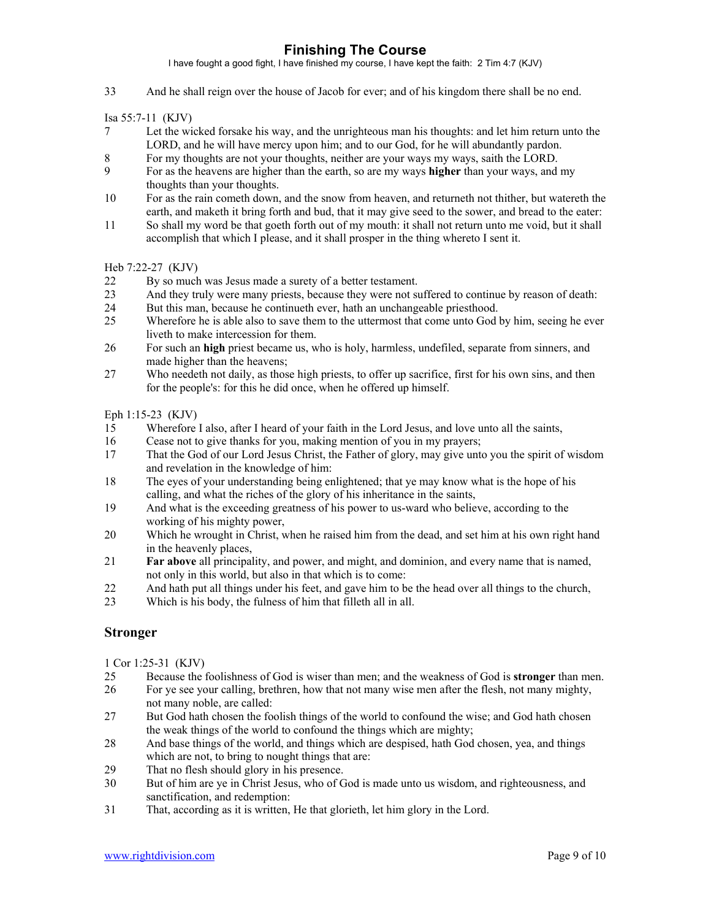I have fought a good fight, I have finished my course, I have kept the faith: 2 Tim 4:7 (KJV)

33 And he shall reign over the house of Jacob for ever; and of his kingdom there shall be no end.

Isa 55:7-11 (KJV)

- 7 Let the wicked forsake his way, and the unrighteous man his thoughts: and let him return unto the LORD, and he will have mercy upon him; and to our God, for he will abundantly pardon.
- 8 For my thoughts are not your thoughts, neither are your ways my ways, saith the LORD.
- 9 For as the heavens are higher than the earth, so are my ways **higher** than your ways, and my thoughts than your thoughts.
- 10 For as the rain cometh down, and the snow from heaven, and returneth not thither, but watereth the earth, and maketh it bring forth and bud, that it may give seed to the sower, and bread to the eater:
- 11 So shall my word be that goeth forth out of my mouth: it shall not return unto me void, but it shall accomplish that which I please, and it shall prosper in the thing whereto I sent it.

Heb 7:22-27 (KJV)

- 22 By so much was Jesus made a surety of a better testament.<br>23 And they truly were many priests, because they were not su
- And they truly were many priests, because they were not suffered to continue by reason of death:
- 24 But this man, because he continueth ever, hath an unchangeable priesthood.
- 25 Wherefore he is able also to save them to the uttermost that come unto God by him, seeing he ever liveth to make intercession for them.
- 26 For such an **high** priest became us, who is holy, harmless, undefiled, separate from sinners, and made higher than the heavens;
- 27 Who needeth not daily, as those high priests, to offer up sacrifice, first for his own sins, and then for the people's: for this he did once, when he offered up himself.

Eph 1:15-23 (KJV)

- 15 Wherefore I also, after I heard of your faith in the Lord Jesus, and love unto all the saints,
- 16 Cease not to give thanks for you, making mention of you in my prayers;
- 17 That the God of our Lord Jesus Christ, the Father of glory, may give unto you the spirit of wisdom and revelation in the knowledge of him:
- 18 The eyes of your understanding being enlightened; that ye may know what is the hope of his calling, and what the riches of the glory of his inheritance in the saints,
- 19 And what is the exceeding greatness of his power to us-ward who believe, according to the working of his mighty power,
- 20 Which he wrought in Christ, when he raised him from the dead, and set him at his own right hand in the heavenly places,
- 21 **Far above** all principality, and power, and might, and dominion, and every name that is named, not only in this world, but also in that which is to come:
- 22 And hath put all things under his feet, and gave him to be the head over all things to the church,
- 23 Which is his body, the fulness of him that filleth all in all.

#### **Stronger**

1 Cor 1:25-31 (KJV)

- 25 Because the foolishness of God is wiser than men; and the weakness of God is **stronger** than men.
- 26 For ye see your calling, brethren, how that not many wise men after the flesh, not many mighty, not many noble, are called:
- 27 But God hath chosen the foolish things of the world to confound the wise; and God hath chosen the weak things of the world to confound the things which are mighty;
- 28 And base things of the world, and things which are despised, hath God chosen, yea, and things which are not, to bring to nought things that are:
- 29 That no flesh should glory in his presence.
- 30 But of him are ye in Christ Jesus, who of God is made unto us wisdom, and righteousness, and sanctification, and redemption:
- 31 That, according as it is written, He that glorieth, let him glory in the Lord.